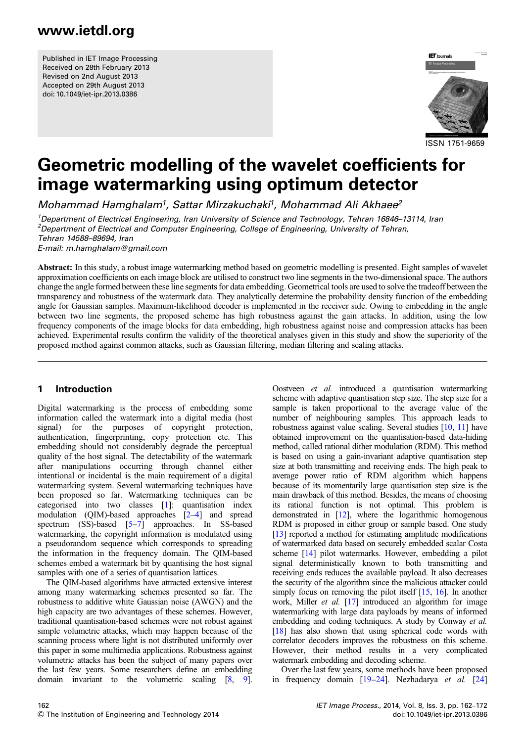Published in IET Image Processing Received on 28th February 2013 Revised on 2nd August 2013 Accepted on 29th August 2013 doi: 10.1049/iet-ipr.2013.0386



ISSN 1751-9659

# Geometric modelling of the wavelet coefficients for image watermarking using optimum detector

Mohammad Hamghalam<sup>1</sup>, Sattar Mirzakuchaki<sup>1</sup>, Mohammad Ali Akhaee<sup>2</sup>

<sup>1</sup>Department of Electrical Engineering, Iran University of Science and Technology, Tehran 16846-13114, Iran<br><sup>2</sup>Department of Electrical and Computer Engineering, College of Engineering, University of Tehran  $<sup>2</sup>$ Department of Electrical and Computer Engineering, College of Engineering, University of Tehran,</sup> Tehran 14588–89694, Iran

E-mail: m.hamghalam@gmail.com

Abstract: In this study, a robust image watermarking method based on geometric modelling is presented. Eight samples of wavelet approximation coefficients on each image block are utilised to construct two line segments in the two-dimensional space. The authors change the angle formed between these line segments for data embedding. Geometrical tools are used to solve the tradeoff between the transparency and robustness of the watermark data. They analytically determine the probability density function of the embedding angle for Gaussian samples. Maximum-likelihood decoder is implemented in the receiver side. Owing to embedding in the angle between two line segments, the proposed scheme has high robustness against the gain attacks. In addition, using the low frequency components of the image blocks for data embedding, high robustness against noise and compression attacks has been achieved. Experimental results confirm the validity of the theoretical analyses given in this study and show the superiority of the proposed method against common attacks, such as Gaussian filtering, median filtering and scaling attacks.

### 1 Introduction

Digital watermarking is the process of embedding some information called the watermark into a digital media (host signal) for the purposes of copyright protection, authentication, fingerprinting, copy protection etc. This embedding should not considerably degrade the perceptual quality of the host signal. The detectability of the watermark after manipulations occurring through channel either intentional or incidental is the main requirement of a digital watermarking system. Several watermarking techniques have been proposed so far. Watermarking techniques can be categorised into two classes [1]: quantisation index modulation (QIM)-based approaches [2–4] and spread spectrum (SS)-based [5–7] approaches. In SS-based watermarking, the copyright information is modulated using a pseudorandom sequence which corresponds to spreading the information in the frequency domain. The QIM-based schemes embed a watermark bit by quantising the host signal samples with one of a series of quantisation lattices.

The QIM-based algorithms have attracted extensive interest among many watermarking schemes presented so far. The robustness to additive white Gaussian noise (AWGN) and the high capacity are two advantages of these schemes. However, traditional quantisation-based schemes were not robust against simple volumetric attacks, which may happen because of the scanning process where light is not distributed uniformly over this paper in some multimedia applications. Robustness against volumetric attacks has been the subject of many papers over the last few years. Some researchers define an embedding domain invariant to the volumetric scaling [8, 9].

Oostveen et al. introduced a quantisation watermarking scheme with adaptive quantisation step size. The step size for a sample is taken proportional to the average value of the number of neighbouring samples. This approach leads to robustness against value scaling. Several studies [10, 11] have obtained improvement on the quantisation-based data-hiding method, called rational dither modulation (RDM). This method is based on using a gain-invariant adaptive quantisation step size at both transmitting and receiving ends. The high peak to average power ratio of RDM algorithm which happens because of its momentarily large quantisation step size is the main drawback of this method. Besides, the means of choosing its rational function is not optimal. This problem is demonstrated in [12], where the logarithmic homogenous RDM is proposed in either group or sample based. One study [13] reported a method for estimating amplitude modifications of watermarked data based on securely embedded scalar Costa scheme [14] pilot watermarks. However, embedding a pilot signal deterministically known to both transmitting and receiving ends reduces the available payload. It also decreases the security of the algorithm since the malicious attacker could simply focus on removing the pilot itself  $[15, 16]$ . In another work, Miller et al. [17] introduced an algorithm for image watermarking with large data payloads by means of informed embedding and coding techniques. A study by Conway et al. [18] has also shown that using spherical code words with correlator decoders improves the robustness on this scheme. However, their method results in a very complicated watermark embedding and decoding scheme.

Over the last few years, some methods have been proposed in frequency domain [19–24]. Nezhadarya et al. [24]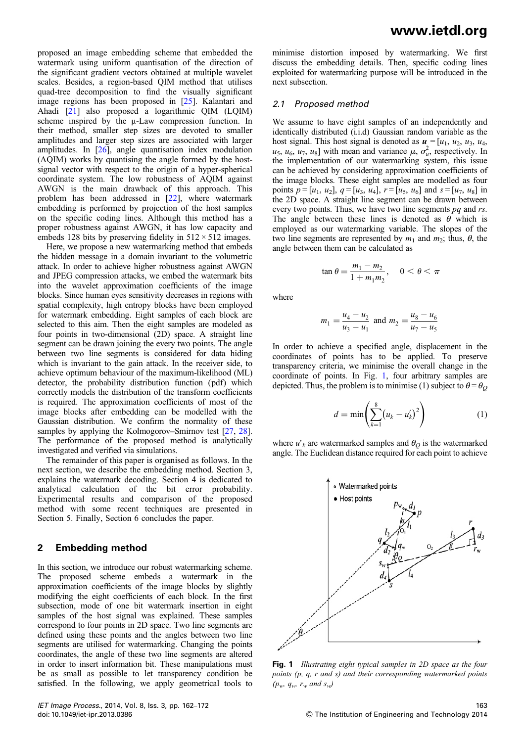proposed an image embedding scheme that embedded the watermark using uniform quantisation of the direction of the significant gradient vectors obtained at multiple wavelet scales. Besides, a region-based QIM method that utilises quad-tree decomposition to find the visually significant image regions has been proposed in [25]. Kalantari and Ahadi [21] also proposed a logarithmic QIM (LQIM) scheme inspired by the μ-Law compression function. In their method, smaller step sizes are devoted to smaller amplitudes and larger step sizes are associated with larger amplitudes. In [26], angle quantisation index modulation (AQIM) works by quantising the angle formed by the hostsignal vector with respect to the origin of a hyper-spherical coordinate system. The low robustness of AQIM against AWGN is the main drawback of this approach. This problem has been addressed in [22], where watermark embedding is performed by projection of the host samples on the specific coding lines. Although this method has a proper robustness against AWGN, it has low capacity and embeds 128 bits by preserving fidelity in  $512 \times 512$  images.

Here, we propose a new watermarking method that embeds the hidden message in a domain invariant to the volumetric attack. In order to achieve higher robustness against AWGN and JPEG compression attacks, we embed the watermark bits into the wavelet approximation coefficients of the image blocks. Since human eyes sensitivity decreases in regions with spatial complexity, high entropy blocks have been employed for watermark embedding. Eight samples of each block are selected to this aim. Then the eight samples are modeled as four points in two-dimensional (2D) space. A straight line segment can be drawn joining the every two points. The angle between two line segments is considered for data hiding which is invariant to the gain attack. In the receiver side, to achieve optimum behaviour of the maximum-likelihood (ML) detector, the probability distribution function (pdf) which correctly models the distribution of the transform coefficients is required. The approximation coefficients of most of the image blocks after embedding can be modelled with the Gaussian distribution. We confirm the normality of these samples by applying the Kolmogorov–Smirnov test [27, 28]. The performance of the proposed method is analytically investigated and verified via simulations.

The remainder of this paper is organised as follows. In the next section, we describe the embedding method. Section 3, explains the watermark decoding. Section 4 is dedicated to analytical calculation of the bit error probability. Experimental results and comparison of the proposed method with some recent techniques are presented in Section 5. Finally, Section 6 concludes the paper.

#### 2 Embedding method

In this section, we introduce our robust watermarking scheme. The proposed scheme embeds a watermark in the approximation coefficients of the image blocks by slightly modifying the eight coefficients of each block. In the first subsection, mode of one bit watermark insertion in eight samples of the host signal was explained. These samples correspond to four points in 2D space. Two line segments are defined using these points and the angles between two line segments are utilised for watermarking. Changing the points coordinates, the angle of these two line segments are altered in order to insert information bit. These manipulations must be as small as possible to let transparency condition be satisfied. In the following, we apply geometrical tools to

minimise distortion imposed by watermarking. We first discuss the embedding details. Then, specific coding lines exploited for watermarking purpose will be introduced in the next subsection.

#### 2.1 Proposed method

We assume to have eight samples of an independently and identically distributed (i.i.d) Gaussian random variable as the host signal. This host signal is denoted as  $u = [u_1, u_2, u_3, u_4, u_5, u_6, u_7, u_8, u_9, u_1, u_2, u_3, u_4, u_5, u_6, u_7, u_8, u_9, u_1, u_2, u_3, u_4, u_5, u_7, u_8, u_9, u_1, u_2, u_3, u_4, u_7, u_8, u_9, u_1, u_2, u_3, u_4, u_5, u_7, u_8, u_9, u_1, u_2, u$  $u_5, u_6, u_7, u_8$ ] with mean and variance  $\mu, \sigma_u^2$ , respectively. In the implementation of our watermarking system, this issue can be achieved by considering approximation coefficients of the image blocks. These eight samples are modelled as four points  $p = [u_1, u_2], q = [u_3, u_4], r = [u_5, u_6]$  and  $s = [u_7, u_8]$  in the 2D space. A straight line segment can be drawn between every two points. Thus, we have two line segments  $pq$  and rs. The angle between these lines is denoted as  $\theta$  which is employed as our watermarking variable. The slopes of the two line segments are represented by  $m_1$  and  $m_2$ ; thus,  $\theta$ , the angle between them can be calculated as

$$
\tan \theta = \frac{m_1 - m_2}{1 + m_1 m_2}, \quad 0 < \theta < \pi
$$

where

$$
m_1 = \frac{u_4 - u_2}{u_3 - u_1}
$$
 and  $m_2 = \frac{u_8 - u_6}{u_7 - u_5}$ 

In order to achieve a specified angle, displacement in the coordinates of points has to be applied. To preserve transparency criteria, we minimise the overall change in the coordinate of points. In Fig. 1, four arbitrary samples are depicted. Thus, the problem is to minimise (1) subject to  $\theta = \theta_{\Omega}$ 

$$
d = \min\left(\sum_{k=1}^{8} (u_k - u'_k)^2\right)
$$
 (1)

where  $u'_{k}$  are watermarked samples and  $\theta_{O}$  is the watermarked angle. The Euclidean distance required for each point to achieve



Fig. 1 Illustrating eight typical samples in 2D space as the four points (p, q, r and s) and their corresponding watermarked points  $(p_w, q_w, r_w \text{ and } s_w)$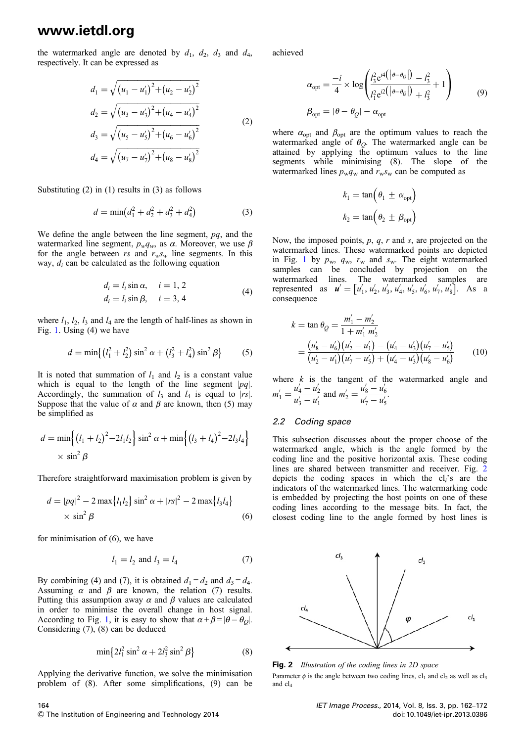the watermarked angle are denoted by  $d_1$ ,  $d_2$ ,  $d_3$  and  $d_4$ , respectively. It can be expressed as

$$
d_1 = \sqrt{(u_1 - u'_1)^2 + (u_2 - u'_2)^2}
$$
  
\n
$$
d_2 = \sqrt{(u_3 - u'_3)^2 + (u_4 - u'_4)^2}
$$
  
\n
$$
d_3 = \sqrt{(u_5 - u'_5)^2 + (u_6 - u'_6)^2}
$$
  
\n
$$
d_4 = \sqrt{(u_7 - u'_7)^2 + (u_8 - u'_8)^2}
$$
\n(2)

Substituting (2) in (1) results in (3) as follows

$$
d = \min\left(d_1^2 + d_2^2 + d_3^2 + d_4^2\right) \tag{3}
$$

We define the angle between the line segment,  $pq$ , and the watermarked line segment,  $p_w q_w$ , as  $\alpha$ . Moreover, we use  $\beta$ for the angle between rs and  $r_w s_w$  line segments. In this way,  $d_i$  can be calculated as the following equation

$$
d_i = l_i \sin \alpha, \quad i = 1, 2
$$
  
\n
$$
d_i = l_i \sin \beta, \quad i = 3, 4
$$
\n(4)

where  $l_1$ ,  $l_2$ ,  $l_3$  and  $l_4$  are the length of half-lines as shown in Fig. 1. Using (4) we have

$$
d = \min\{(l_1^2 + l_2^2)\sin^2\alpha + (l_3^2 + l_4^2)\sin^2\beta\}
$$
 (5)

It is noted that summation of  $l_1$  and  $l_2$  is a constant value which is equal to the length of the line segment  $|pq|$ . Accordingly, the summation of  $l_3$  and  $l_4$  is equal to |rs|. Suppose that the value of  $\alpha$  and  $\beta$  are known, then (5) may be simplified as

$$
d = \min \left\{ (l_1 + l_2)^2 - 2l_1l_2 \right\} \sin^2 \alpha + \min \left\{ (l_3 + l_4)^2 - 2l_3l_4 \right\}
$$
  
 
$$
\times \sin^2 \beta
$$

Therefore straightforward maximisation problem is given by

$$
d = |pq|^2 - 2 \max\{l_1 l_2\} \sin^2 \alpha + |rs|^2 - 2 \max\{l_3 l_4\} \\
\times \sin^2 \beta
$$
\n(6)

for minimisation of (6), we have

$$
l_1 = l_2 \text{ and } l_3 = l_4
$$
 (7)

By combining (4) and (7), it is obtained  $d_1 = d_2$  and  $d_3 = d_4$ . Assuming  $\alpha$  and  $\beta$  are known, the relation (7) results. Putting this assumption away  $\alpha$  and  $\beta$  values are calculated in order to minimise the overall change in host signal. According to Fig. 1, it is easy to show that  $\alpha + \beta = |\theta - \theta_0|$ . Considering (7), (8) can be deduced

$$
\min\{2l_1^2\sin^2\alpha + 2l_3^2\sin^2\beta\} \tag{8}
$$

Applying the derivative function, we solve the minimisation problem of (8). After some simplifications, (9) can be achieved

$$
\alpha_{\rm opt} = \frac{-i}{4} \times \log \left( \frac{l_3^2 e^{i4} (|\theta - \theta_0|) - l_3^2}{l_1^2 e^{i2} (|\theta - \theta_0|) + l_3^2} + 1 \right)
$$
  
\n
$$
\beta_{\rm opt} = |\theta - \theta_0| - \alpha_{\rm opt}
$$
\n(9)

where  $\alpha_{opt}$  and  $\beta_{opt}$  are the optimum values to reach the watermarked angle of  $\theta_{Q}$ . The watermarked angle can be attained by applying the optimum values to the line segments while minimising (8). The slope of the watermarked lines  $p_w q_w$  and  $r_w s_w$  can be computed as

$$
k_1 = \tan\left(\theta_1 \pm \alpha_{\text{opt}}\right)
$$

$$
k_2 = \tan\left(\theta_2 \pm \beta_{\text{opt}}\right)
$$

Now, the imposed points,  $p$ ,  $q$ ,  $r$  and  $s$ , are projected on the watermarked lines. These watermarked points are depicted in Fig. 1 by  $p_w$ ,  $q_w$ ,  $r_w$  and  $s_w$ . The eight watermarked samples can be concluded by projection on the watermarked lines. The watermarked samples are represented as  $u' = [u'_1, u'_2, u'_3, u'_4, u'_5, u'_6, u'_7, u'_8]$ . As a consequence

$$
k = \tan \theta_Q = \frac{m'_1 - m'_2}{1 + m'_1 m'_2}
$$
  
= 
$$
\frac{(u'_8 - u'_6)(u'_2 - u'_1) - (u'_4 - u'_3)(u'_7 - u'_5)}{(u'_2 - u'_1)(u'_7 - u'_5) + (u'_4 - u'_3)(u'_8 - u'_6)}
$$
 (10)

where  $k$  is the tangent of the watermarked angle and  $m_1'=\frac{u_4'-u_2'}{u_2'-u_1'}$  $u'_3 - u'_1$ and  $m'_2 = \frac{u'_8 - u'_6}{u'_2 - u'_3}$  $u'_7 - u'_5$ .

#### 2.2 Coding space

This subsection discusses about the proper choose of the watermarked angle, which is the angle formed by the coding line and the positive horizontal axis. These coding lines are shared between transmitter and receiver. Fig. 2 depicts the coding spaces in which the  $cl_i$ 's are the indicators of the watermarked lines. The watermarking code is embedded by projecting the host points on one of these coding lines according to the message bits. In fact, the closest coding line to the angle formed by host lines is



Fig. 2 Illustration of the coding lines in 2D space Parameter  $\phi$  is the angle between two coding lines, cl<sub>1</sub> and cl<sub>2</sub> as well as cl<sub>3</sub> and  $cl_4$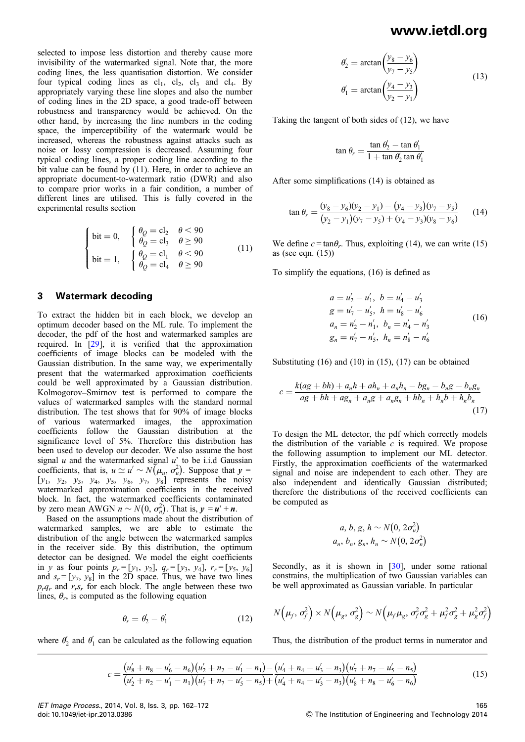selected to impose less distortion and thereby cause more invisibility of the watermarked signal. Note that, the more coding lines, the less quantisation distortion. We consider four typical coding lines as  $cl_1$ ,  $cl_2$ ,  $cl_3$  and  $cl_4$ . By appropriately varying these line slopes and also the number of coding lines in the 2D space, a good trade-off between robustness and transparency would be achieved. On the other hand, by increasing the line numbers in the coding space, the imperceptibility of the watermark would be increased, whereas the robustness against attacks such as noise or lossy compression is decreased. Assuming four typical coding lines, a proper coding line according to the bit value can be found by (11). Here, in order to achieve an appropriate document-to-watermark ratio (DWR) and also to compare prior works in a fair condition, a number of different lines are utilised. This is fully covered in the experimental results section

$$
\begin{cases}\n\text{bit} = 0, & \begin{cases}\n\theta_Q = \mathbf{cl}_2 & \theta < 90 \\
\theta_Q = \mathbf{cl}_3 & \theta \ge 90\n\end{cases} \\
\text{bit} = 1, & \begin{cases}\n\theta_Q = \mathbf{cl}_1 & \theta < 90 \\
\theta_Q = \mathbf{cl}_4 & \theta \ge 90\n\end{cases}\n\end{cases}
$$
\n(11)

#### 3 Watermark decoding

To extract the hidden bit in each block, we develop an optimum decoder based on the ML rule. To implement the decoder, the pdf of the host and watermarked samples are required. In [29], it is verified that the approximation coefficients of image blocks can be modeled with the Gaussian distribution. In the same way, we experimentally present that the watermarked approximation coefficients could be well approximated by a Gaussian distribution. Kolmogorov–Smirnov test is performed to compare the values of watermarked samples with the standard normal distribution. The test shows that for 90% of image blocks of various watermarked images, the approximation coefficients follow the Gaussian distribution at the significance level of 5%. Therefore this distribution has been used to develop our decoder. We also assume the host signal  $u$  and the watermarked signal  $u'$  to be i.i.d Gaussian coefficients, that is,  $u \simeq u' \sim N(\mu_u, \sigma_u^2)$ . Suppose that  $y =$  $[y_1, y_2, y_3, y_4, y_5, y_6, y_7, y_8]$  represents the noisy watermarked approximation coefficients in the received block. In fact, the watermarked coefficients contaminated by zero mean AWGN  $n \sim N(0, \sigma_n^2)$ . That is,  $y = u' + n$ .

Based on the assumptions made about the distribution of watermarked samples, we are able to estimate the distribution of the angle between the watermarked samples in the receiver side. By this distribution, the optimum detector can be designed. We model the eight coefficients in y as four points  $p_r = [y_1, y_2], q_r = [y_3, y_4], r_r = [y_5, y_6]$ and  $s_r = [y_7, y_8]$  in the 2D space. Thus, we have two lines  $p_r q_r$  and  $r_r s_r$  for each block. The angle between these two lines,  $\theta_r$ , is computed as the following equation

$$
\theta_r = \theta'_2 - \theta'_1 \tag{12}
$$

where  $\theta_2$  and  $\theta_1$  can be calculated as the following equation

$$
\theta_2' = \arctan\left(\frac{y_8 - y_6}{y_7 - y_5}\right)
$$
  
\n
$$
\theta_1' = \arctan\left(\frac{y_4 - y_3}{y_2 - y_1}\right)
$$
\n(13)

Taking the tangent of both sides of (12), we have

$$
\tan \theta_r = \frac{\tan \theta_2' - \tan \theta_1'}{1 + \tan \theta_2' \tan \theta_1'}
$$

After some simplifications (14) is obtained as

$$
\tan \theta_r = \frac{(y_8 - y_6)(y_2 - y_1) - (y_4 - y_3)(y_7 - y_5)}{(y_2 - y_1)(y_7 - y_5) + (y_4 - y_3)(y_8 - y_6)} \tag{14}
$$

We define  $c = \tan \theta_r$ . Thus, exploiting (14), we can write (15) as (see eqn. (15))

To simplify the equations, (16) is defined as

$$
a = u'_2 - u'_1, \quad b = u'_4 - u'_3
$$
  
\n
$$
g = u'_7 - u'_5, \quad h = u'_8 - u'_6
$$
  
\n
$$
a_n = n'_2 - n'_1, \quad b_n = n'_4 - n'_3
$$
  
\n
$$
g_n = n'_7 - n'_5, \quad h_n = n'_8 - n'_6
$$
\n(16)

Substituting  $(16)$  and  $(10)$  in  $(15)$ ,  $(17)$  can be obtained

$$
c = \frac{k(ag + bh) + a_n h + ah_n + a_n h_n - bg_n - b_n g - b_n g_n}{ag + bh + ag_n + a_n g + a_n g_n + hb_n + h_n b + h_n b_n}
$$
\n(17)

To design the ML detector, the pdf which correctly models the distribution of the variable  $c$  is required. We propose the following assumption to implement our ML detector. Firstly, the approximation coefficients of the watermarked signal and noise are independent to each other. They are also independent and identically Gaussian distributed; therefore the distributions of the received coefficients can be computed as

$$
a, b, g, h \sim N(0, 2\sigma_u^2)
$$
  

$$
a_n, b_n, g_n, h_n \sim N(0, 2\sigma_n^2)
$$

Secondly, as it is shown in [30], under some rational constrains, the multiplication of two Gaussian variables can be well approximated as Gaussian variable. In particular

$$
N(\mu_f, \sigma_f^2) \times N(\mu_g, \sigma_g^2) \sim N(\mu_f \mu_g, \sigma_f^2 \sigma_g^2 + \mu_f^2 \sigma_g^2 + \mu_g^2 \sigma_f^2)
$$

Thus, the distribution of the product terms in numerator and

$$
c = \frac{(u'_8 + n_8 - u'_6 - n_6)(u'_2 + n_2 - u'_1 - n_1) - (u'_4 + n_4 - u'_3 - n_3)(u'_7 + n_7 - u'_5 - n_5)}{(u'_2 + n_2 - u'_1 - n_1)(u'_7 + n_7 - u'_5 - n_5) + (u'_4 + n_4 - u'_3 - n_3)(u'_8 + n_8 - u'_6 - n_6)}
$$
(15)

IET Image Process., 2014, Vol. 8, Iss. 3, pp. 162–172 doi: 10.1049/iet-ipr.2013.0386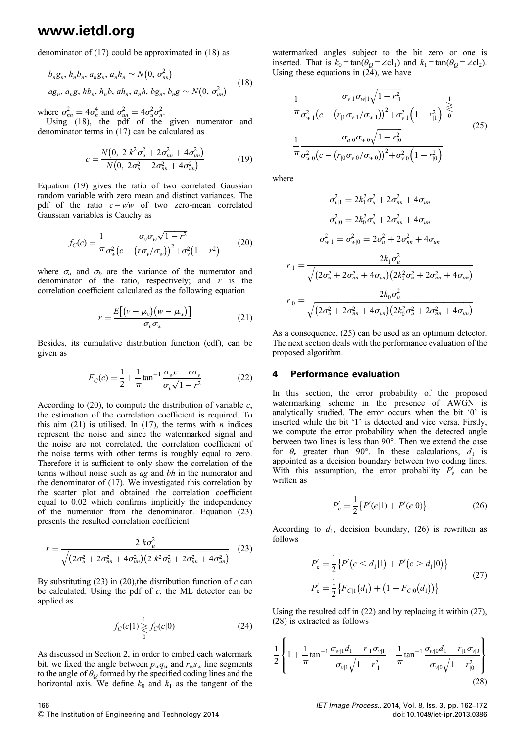denominator of (17) could be approximated in (18) as

$$
b_n g_n, h_n b_n, a_n g_n, a_n h_n \sim N(0, \sigma_{nn}^2)
$$
  
ag<sub>n</sub>, a<sub>n</sub>g, h b<sub>n</sub>, h<sub>n</sub>b, a h<sub>n</sub>, a<sub>n</sub> h, b g<sub>n</sub>, b<sub>n</sub>g \sim N(0, \sigma\_{un}^2) (18)

where  $\sigma_{nn}^2 = 4\sigma_n^4$  and  $\sigma_{un}^2 = 4\sigma_u^2 \sigma_n^2$ .

Using (18), the pdf of the given numerator and denominator terms in (17) can be calculated as

$$
c = \frac{N(0, 2 k^2 \sigma_u^2 + 2 \sigma_{nn}^2 + 4 \sigma_{un}^2)}{N(0, 2 \sigma_u^2 + 2 \sigma_{nn}^2 + 4 \sigma_{un}^2)}
$$
(19)

Equation (19) gives the ratio of two correlated Gaussian random variable with zero mean and distinct variances. The pdf of the ratio  $c = v/w$  of two zero-mean correlated Gaussian variables is Cauchy as

$$
f_C(c) = \frac{1}{\pi} \frac{\sigma_v \sigma_w \sqrt{1 - r^2}}{\sigma_w^2 (c - (r \sigma_v / \sigma_w))^2 + \sigma_v^2 (1 - r^2)}
$$
(20)

where  $\sigma_a$  and  $\sigma_b$  are the variance of the numerator and denominator of the ratio, respectively; and  $r$  is the correlation coefficient calculated as the following equation

$$
r = \frac{E[(v - \mu_v)(w - \mu_w)]}{\sigma_v \sigma_w} \tag{21}
$$

Besides, its cumulative distribution function (cdf), can be given as

$$
F_C(c) = \frac{1}{2} + \frac{1}{\pi} \tan^{-1} \frac{\sigma_w c - r \sigma_v}{\sigma_v \sqrt{1 - r^2}}
$$
(22)

According to  $(20)$ , to compute the distribution of variable c, the estimation of the correlation coefficient is required. To this aim  $(21)$  is utilised. In  $(17)$ , the terms with *n* indices represent the noise and since the watermarked signal and the noise are not correlated, the correlation coefficient of the noise terms with other terms is roughly equal to zero. Therefore it is sufficient to only show the correlation of the terms without noise such as *ag* and *bh* in the numerator and the denominator of (17). We investigated this correlation by the scatter plot and obtained the correlation coefficient equal to 0.02 which confirms implicitly the independency of the numerator from the denominator. Equation (23) presents the resulted correlation coefficient

$$
r = \frac{2 k \sigma_u^2}{\sqrt{(2\sigma_u^2 + 2\sigma_m^2 + 4\sigma_{un}^2)(2 k^2 \sigma_u^2 + 2\sigma_{nn}^2 + 4\sigma_{un}^2)}}
$$
(23)

By substituting  $(23)$  in  $(20)$ , the distribution function of c can be calculated. Using the pdf of  $c$ , the ML detector can be applied as

$$
f_C(c|1) \underset{0}{\geq} f_C(c|0)
$$
 (24)

As discussed in Section 2, in order to embed each watermark bit, we fixed the angle between  $p_w q_w$  and  $r_w s_w$  line segments to the angle of  $\theta_o$  formed by the specified coding lines and the horizontal axis. We define  $k_0$  and  $k_1$  as the tangent of the

#### 166 & The Institution of Engineering and Technology 2014

watermarked angles subject to the bit zero or one is inserted. That is  $k_0 = \tan(\theta_O = \angle \text{cl}_1)$  and  $k_1 = \tan(\theta_O = \angle \text{cl}_2)$ . Using these equations in  $(24)$ , we have

$$
\frac{1}{\pi} \frac{\sigma_{\nu|1} \sigma_{\nu|1} \sqrt{1 - r_{|1}^2}}{\sigma_{\nu|1}^2 (c - (r_{|1} \sigma_{\nu|1} / \sigma_{\nu|1}))^2 + \sigma_{\nu|1}^2 (1 - r_{|1}^2)} \gtrless
$$
\n
$$
\frac{1}{\pi} \frac{\sigma_{a|0} \sigma_{\nu|0} \sqrt{1 - r_{|0}^2}}{\sigma_{\nu|0}^2 (c - (r_{|0} \sigma_{\nu|0} / \sigma_{\nu|0}))^2 + \sigma_{\nu|0}^2 (1 - r_{|0}^2)}
$$
\n(25)

where

$$
\sigma_{v|1}^{2} = 2k_{1}^{2}\sigma_{u}^{2} + 2\sigma_{nn}^{2} + 4\sigma_{un}
$$
\n
$$
\sigma_{v|0}^{2} = 2k_{0}^{2}\sigma_{u}^{2} + 2\sigma_{nn}^{2} + 4\sigma_{un}
$$
\n
$$
\sigma_{w|1}^{2} = \sigma_{w|0}^{2} = 2\sigma_{u}^{2} + 2\sigma_{nn}^{2} + 4\sigma_{un}
$$
\n
$$
r_{|1} = \frac{2k_{1}\sigma_{u}^{2}}{\sqrt{(2\sigma_{u}^{2} + 2\sigma_{nn}^{2} + 4\sigma_{un})(2k_{1}^{2}\sigma_{u}^{2} + 2\sigma_{nn}^{2} + 4\sigma_{un})}}
$$
\n
$$
r_{|0} = \frac{2k_{0}\sigma_{u}^{2}}{\sqrt{(2\sigma_{u}^{2} + 2\sigma_{nn}^{2} + 4\sigma_{un})(2k_{0}^{2}\sigma_{u}^{2} + 2\sigma_{nn}^{2} + 4\sigma_{un})}}
$$

As a consequence, (25) can be used as an optimum detector. The next section deals with the performance evaluation of the proposed algorithm.

#### 4 Performance evaluation

In this section, the error probability of the proposed watermarking scheme in the presence of AWGN is analytically studied. The error occurs when the bit '0' is inserted while the bit '1' is detected and vice versa. Firstly, we compute the error probability when the detected angle between two lines is less than 90°. Then we extend the case for  $\theta_r$  greater than 90°. In these calculations,  $d_1$  is appointed as a decision boundary between two coding lines. With this assumption, the error probability  $P'_{e}$  can be written as

$$
P'_{e} = \frac{1}{2} \{ P'(e|1) + P'(e|0) \}
$$
 (26)

According to  $d_1$ , decision boundary, (26) is rewritten as follows

$$
P'_{e} = \frac{1}{2} \{ P'(c < d_1 | 1) + P'(c > d_1 | 0) \}
$$
  
\n
$$
P'_{e} = \frac{1}{2} \{ F_{C|1}(d_1) + (1 - F_{C|0}(d_1)) \}
$$
\n(27)

Using the resulted cdf in (22) and by replacing it within (27), (28) is extracted as follows

$$
\frac{1}{2} \left\{ 1 + \frac{1}{\pi} \tan^{-1} \frac{\sigma_{w|1} d_1 - r_{|1} \sigma_{v|1}}{\sigma_{v|1} \sqrt{1 - r_{|1}^2}} - \frac{1}{\pi} \tan^{-1} \frac{\sigma_{w|0} d_1 - r_{|1} \sigma_{v|0}}{\sigma_{v|0} \sqrt{1 - r_{|0}^2}} \right\}
$$
(28)

IET Image Process., 2014, Vol. 8, Iss. 3, pp. 162–172 doi: 10.1049/iet-ipr.2013.0386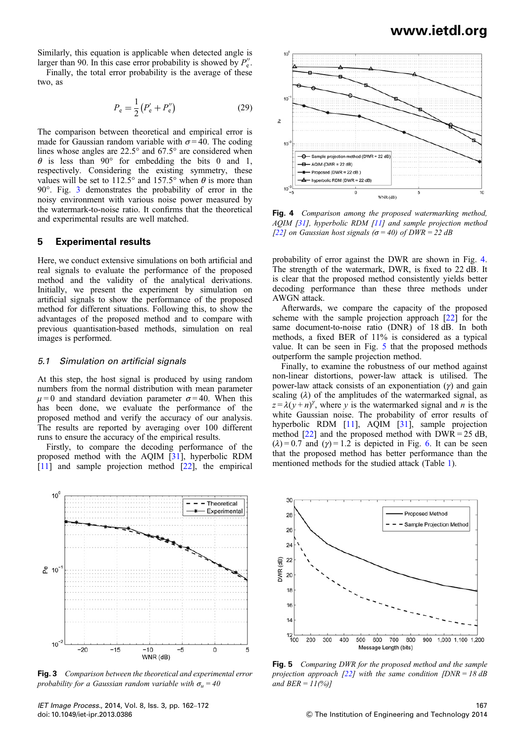Similarly, this equation is applicable when detected angle is larger than 90. In this case error probability is showed by  $P'$ ,"<br>e .

Finally, the total error probability is the average of these two, as

$$
P_e = \frac{1}{2} (P'_e + P''_e) \tag{29}
$$

The comparison between theoretical and empirical error is made for Gaussian random variable with  $\sigma = 40$ . The coding lines whose angles are 22.5° and 67.5° are considered when  $\theta$  is less than 90° for embedding the bits 0 and 1, respectively. Considering the existing symmetry, these values will be set to 112.5° and 157.5° when  $\theta$  is more than 90°. Fig. 3 demonstrates the probability of error in the noisy environment with various noise power measured by the watermark-to-noise ratio. It confirms that the theoretical and experimental results are well matched.

#### 5 Experimental results

Here, we conduct extensive simulations on both artificial and real signals to evaluate the performance of the proposed method and the validity of the analytical derivations. Initially, we present the experiment by simulation on artificial signals to show the performance of the proposed method for different situations. Following this, to show the advantages of the proposed method and to compare with previous quantisation-based methods, simulation on real images is performed.

#### 5.1 Simulation on artificial signals

 $10<sup>°</sup>$ 

At this step, the host signal is produced by using random numbers from the normal distribution with mean parameter  $\mu = 0$  and standard deviation parameter  $\sigma = 40$ . When this has been done, we evaluate the performance of the proposed method and verify the accuracy of our analysis. The results are reported by averaging over 100 different runs to ensure the accuracy of the empirical results.

Firstly, to compare the decoding performance of the proposed method with the AQIM [31], hyperbolic RDM [11] and sample projection method [22], the empirical

Theoretical



Fig. 3 Comparison between the theoretical and experimental error probability for a Gaussian random variable with  $\sigma_u = 40$ 



Fig. 4 Comparison among the proposed watermarking method, AQIM [31], hyperbolic RDM [11] and sample projection method [22] on Gaussian host signals ( $\sigma$  = 40) of DWR = 22 dB

probability of error against the DWR are shown in Fig. 4. The strength of the watermark, DWR, is fixed to 22 dB. It is clear that the proposed method consistently yields better decoding performance than these three methods under AWGN attack.

Afterwards, we compare the capacity of the proposed scheme with the sample projection approach [22] for the same document-to-noise ratio (DNR) of 18 dB. In both methods, a fixed BER of 11% is considered as a typical value. It can be seen in Fig. 5 that the proposed methods outperform the sample projection method.

Finally, to examine the robustness of our method against non-linear distortions, power-law attack is utilised. The power-law attack consists of an exponentiation  $(y)$  and gain scaling  $(\lambda)$  of the amplitudes of the watermarked signal, as  $z = \lambda (y + n)^{\gamma}$ , where y is the watermarked signal and n is the white Gaussian noise. The probability of error results of hyperbolic RDM [11], AQIM [31], sample projection method  $[22]$  and the proposed method with DWR = 25 dB,  $(\lambda) = 0.7$  and  $(\gamma) = 1.2$  is depicted in Fig. 6. It can be seen that the proposed method has better performance than the mentioned methods for the studied attack (Table 1).



Fig. 5 Comparing DWR for the proposed method and the sample projection approach  $\sqrt{22}$  with the same condition  $\sqrt{DNR} = 18$  dB and  $BER = 11(%)$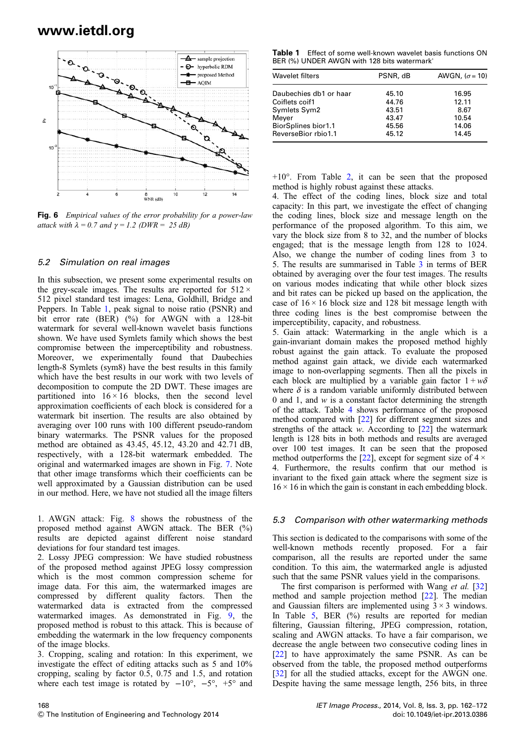

Fig. 6 Empirical values of the error probability for a power-law attack with  $\lambda = 0.7$  and  $\gamma = 1.2$  (DWR = 25 dB)

#### 5.2 Simulation on real images

In this subsection, we present some experimental results on the grey-scale images. The results are reported for  $512 \times$ 512 pixel standard test images: Lena, Goldhill, Bridge and Peppers. In Table 1, peak signal to noise ratio (PSNR) and bit error rate (BER) (%) for AWGN with a 128-bit watermark for several well-known wavelet basis functions shown. We have used Symlets family which shows the best compromise between the imperceptibility and robustness. Moreover, we experimentally found that Daubechies length-8 Symlets (sym8) have the best results in this family which have the best results in our work with two levels of decomposition to compute the 2D DWT. These images are partitioned into  $16 \times 16$  blocks, then the second level approximation coefficients of each block is considered for a watermark bit insertion. The results are also obtained by averaging over 100 runs with 100 different pseudo-random binary watermarks. The PSNR values for the proposed method are obtained as 43.45, 45.12, 43.20 and 42.71 dB, respectively, with a 128-bit watermark embedded. The original and watermarked images are shown in Fig. 7. Note that other image transforms which their coefficients can be well approximated by a Gaussian distribution can be used in our method. Here, we have not studied all the image filters

1. AWGN attack: Fig. 8 shows the robustness of the proposed method against AWGN attack. The BER (%) results are depicted against different noise standard deviations for four standard test images.

2. Lossy JPEG compression: We have studied robustness of the proposed method against JPEG lossy compression which is the most common compression scheme for image data. For this aim, the watermarked images are compressed by different quality factors. Then the watermarked data is extracted from the compressed watermarked images. As demonstrated in Fig. 9, the proposed method is robust to this attack. This is because of embedding the watermark in the low frequency components of the image blocks.

3. Cropping, scaling and rotation: In this experiment, we investigate the effect of editing attacks such as 5 and 10% cropping, scaling by factor 0.5, 0.75 and 1.5, and rotation where each test image is rotated by  $-10^{\circ}$ ,  $-5^{\circ}$ ,  $+5^{\circ}$  and

Table 1 Effect of some well-known wavelet basis functions ON BER (%) UNDER AWGN with 128 bits watermark'

| <b>Wavelet filters</b>     | PSNR, dB | AWGN, $(\sigma = 10)$ |
|----------------------------|----------|-----------------------|
| Daubechies db1 or haar     | 45.10    | 16.95                 |
| Coiflets coif1             | 44.76    | 12.11                 |
| Symlets Sym2               | 43.51    | 8.67                  |
| Meyer                      | 43.47    | 10.54                 |
| <b>BiorSplines bior1.1</b> | 45.56    | 14.06                 |
| ReverseBior rbio1.1        | 45.12    | 14.45                 |

 $+10^{\circ}$ . From Table 2, it can be seen that the proposed method is highly robust against these attacks.

4. The effect of the coding lines, block size and total capacity: In this part, we investigate the effect of changing the coding lines, block size and message length on the performance of the proposed algorithm. To this aim, we vary the block size from 8 to 32, and the number of blocks engaged; that is the message length from 128 to 1024. Also, we change the number of coding lines from 3 to 5. The results are summarised in Table 3 in terms of BER obtained by averaging over the four test images. The results on various modes indicating that while other block sizes and bit rates can be picked up based on the application, the case of  $16 \times 16$  block size and 128 bit message length with three coding lines is the best compromise between the imperceptibility, capacity, and robustness.

5. Gain attack: Watermarking in the angle which is a gain-invariant domain makes the proposed method highly robust against the gain attack. To evaluate the proposed method against gain attack, we divide each watermarked image to non-overlapping segments. Then all the pixels in each block are multiplied by a variable gain factor  $1 + w\delta$ where  $\delta$  is a random variable uniformly distributed between 0 and 1, and  $w$  is a constant factor determining the strength of the attack. Table 4 shows performance of the proposed method compared with [22] for different segment sizes and strengths of the attack w. According to  $[22]$  the watermark length is 128 bits in both methods and results are averaged over 100 test images. It can be seen that the proposed method outperforms the [22], except for segment size of  $4 \times$ 4. Furthermore, the results confirm that our method is invariant to the fixed gain attack where the segment size is  $16 \times 16$  in which the gain is constant in each embedding block.

#### 5.3 Comparison with other watermarking methods

This section is dedicated to the comparisons with some of the well-known methods recently proposed. For a fair comparison, all the results are reported under the same condition. To this aim, the watermarked angle is adjusted such that the same PSNR values yield in the comparisons.

The first comparison is performed with Wang *et al.* [32] method and sample projection method [22]. The median and Gaussian filters are implemented using  $3 \times 3$  windows. In Table  $5$ , BER  $(\%)$  results are reported for median filtering, Gaussian filtering, JPEG compression, rotation, scaling and AWGN attacks. To have a fair comparison, we decrease the angle between two consecutive coding lines in [22] to have approximately the same PSNR. As can be observed from the table, the proposed method outperforms [32] for all the studied attacks, except for the AWGN one. Despite having the same message length, 256 bits, in three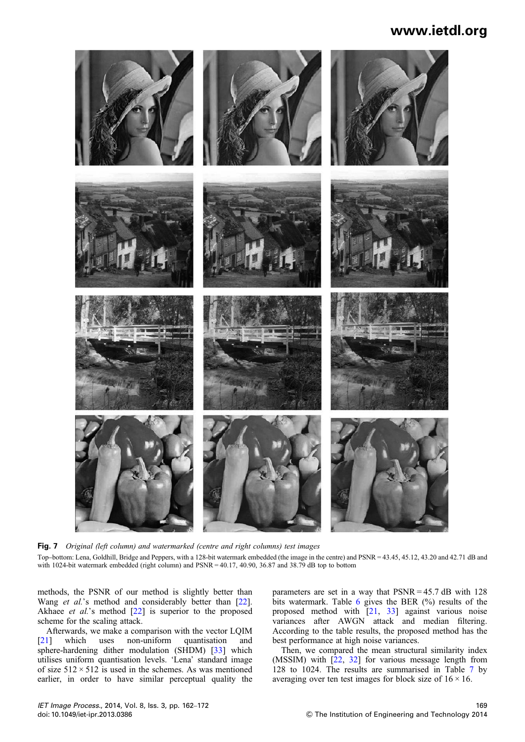

Fig. 7 Original (left column) and watermarked (centre and right columns) test images Top–bottom: Lena, Goldhill, Bridge and Peppers, with a 128-bit watermark embedded (the image in the centre) and PSNR = 43.45, 45.12, 43.20 and 42.71 dB and with 1024-bit watermark embedded (right column) and PSNR = 40.17, 40.90, 36.87 and 38.79 dB top to bottom

methods, the PSNR of our method is slightly better than Wang et al.'s method and considerably better than [22]. Akhaee et al.'s method [22] is superior to the proposed scheme for the scaling attack.

Afterwards, we make a comparison with the vector LQIM 1] which uses non-uniform quantisation and [21] which uses non-uniform quantisation and sphere-hardening dither modulation (SHDM) [33] which utilises uniform quantisation levels. 'Lena' standard image of size  $512 \times 512$  is used in the schemes. As was mentioned earlier, in order to have similar perceptual quality the parameters are set in a way that PSNR = 45.7 dB with 128 bits watermark. Table 6 gives the BER (%) results of the proposed method with [21, 33] against various noise variances after AWGN attack and median filtering. According to the table results, the proposed method has the best performance at high noise variances.

Then, we compared the mean structural similarity index (MSSIM) with [22, 32] for various message length from 128 to 1024. The results are summarised in Table 7 by averaging over ten test images for block size of  $16 \times 16$ .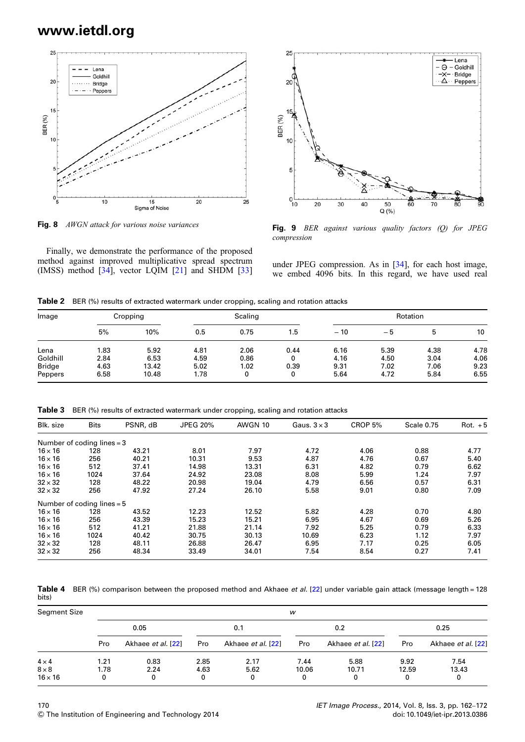

Finally, we demonstrate the performance of the proposed method against improved multiplicative spread spectrum method against improved multiplicative spread spectrum<br>(IMSS) method [34], vector LQIM [21] and SHDM [33] we embed 4096 bits. In this regard, we have used real



Fig. 8 AWGN attack for various noise variances<br>Fig. 9 BER against various quality factors (Q) for JPEG compression

we embed 4096 bits. In this regard, we have used real

Table 2 BER (%) results of extracted watermark under cropping, scaling and rotation attacks

| Image         | Cropping |       | Scaling |      |      | Rotation |      |      |      |  |
|---------------|----------|-------|---------|------|------|----------|------|------|------|--|
|               | 5%       | 10%   | 0.5     | 0.75 | 1.5  | $-10$    | $-5$ | 5    | 10   |  |
| Lena          | 1.83     | 5.92  | 4.81    | 2.06 | 0.44 | 6.16     | 5.39 | 4.38 | 4.78 |  |
| Goldhill      | 2.84     | 6.53  | 4.59    | 0.86 | 0    | 4.16     | 4.50 | 3.04 | 4.06 |  |
| <b>Bridge</b> | 4.63     | 13.42 | 5.02    | 1.02 | 0.39 | 9.31     | 7.02 | 7.06 | 9.23 |  |
| Peppers       | 6.58     | 10.48 | 1.78    |      | 0    | 5.64     | 4.72 | 5.84 | 6.55 |  |

Table 3 BER (%) results of extracted watermark under cropping, scaling and rotation attacks

| Blk. size                  | <b>Bits</b> | PSNR, dB | <b>JPEG 20%</b> | AWGN 10 | Gaus. $3 \times 3$ | CROP <sub>5%</sub> | Scale 0.75 | Rot. $+5$ |
|----------------------------|-------------|----------|-----------------|---------|--------------------|--------------------|------------|-----------|
| Number of coding lines = 3 |             |          |                 |         |                    |                    |            |           |
| $16 \times 16$             | 128         | 43.21    | 8.01            | 7.97    | 4.72               | 4.06               | 0.88       | 4.77      |
| $16 \times 16$             | 256         | 40.21    | 10.31           | 9.53    | 4.87               | 4.76               | 0.67       | 5.40      |
| $16 \times 16$             | 512         | 37.41    | 14.98           | 13.31   | 6.31               | 4.82               | 0.79       | 6.62      |
| $16 \times 16$             | 1024        | 37.64    | 24.92           | 23.08   | 8.08               | 5.99               | 1.24       | 7.97      |
| $32 \times 32$             | 128         | 48.22    | 20.98           | 19.04   | 4.79               | 6.56               | 0.57       | 6.31      |
| $32 \times 32$             | 256         | 47.92    | 27.24           | 26.10   | 5.58               | 9.01               | 0.80       | 7.09      |
| Number of coding lines = 5 |             |          |                 |         |                    |                    |            |           |
| $16 \times 16$             | 128         | 43.52    | 12.23           | 12.52   | 5.82               | 4.28               | 0.70       | 4.80      |
| $16 \times 16$             | 256         | 43.39    | 15.23           | 15.21   | 6.95               | 4.67               | 0.69       | 5.26      |
| $16 \times 16$             | 512         | 41.21    | 21.88           | 21.14   | 7.92               | 5.25               | 0.79       | 6.33      |
| $16 \times 16$             | 1024        | 40.42    | 30.75           | 30.13   | 10.69              | 6.23               | 1.12       | 7.97      |
| $32 \times 32$             | 128         | 48.11    | 26.88           | 26.47   | 6.95               | 7.17               | 0.25       | 6.05      |
| $32 \times 32$             | 256         | 48.34    | 33.49           | 34.01   | 7.54               | 8.54               | 0.27       | 7.41      |

Table 4 BER (%) comparison between the proposed method and Akhaee et al. [22] under variable gain attack (message length = 128 bits)

| <b>Segment Size</b>                            |                   | w                  |              |                    |                    |                    |                    |                    |  |  |  |
|------------------------------------------------|-------------------|--------------------|--------------|--------------------|--------------------|--------------------|--------------------|--------------------|--|--|--|
|                                                |                   | 0.05               |              | 0.1                |                    | 0.2                |                    | 0.25               |  |  |  |
|                                                | Pro               | Akhaee et al. [22] | Pro          | Akhaee et al. [22] | Pro                | Akhaee et al. [22] | Pro                | Akhaee et al. [22] |  |  |  |
| $4 \times 4$<br>$8 \times 8$<br>$16 \times 16$ | 1.21<br>1.78<br>0 | 0.83<br>2.24<br>0  | 2.85<br>4.63 | 2.17<br>5.62       | 7.44<br>10.06<br>0 | 5.88<br>10.71<br>0 | 9.92<br>12.59<br>0 | 7.54<br>13.43<br>0 |  |  |  |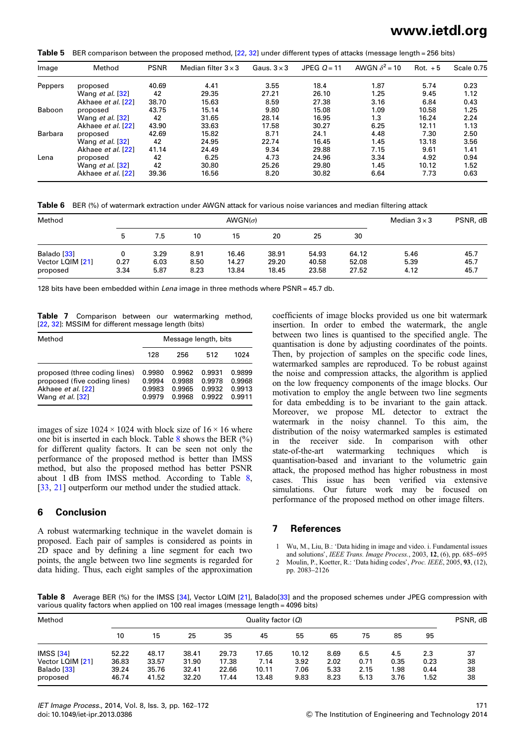Table 5 BER comparison between the proposed method, [22, 32] under different types of attacks (message length = 256 bits)

| Image   | Method                    | <b>PSNR</b> | Median filter $3 \times 3$ | Gaus. $3 \times 3$ | JPEG $Q = 11$ | AWGN $\delta^2$ = 10 | Rot. $+5$ | Scale 0.75 |
|---------|---------------------------|-------------|----------------------------|--------------------|---------------|----------------------|-----------|------------|
| Peppers | proposed                  | 40.69       | 4.41                       | 3.55               | 18.4          | 1.87                 | 5.74      | 0.23       |
|         | Wang et al. [32]          | 42          | 29.35                      | 27.21              | 26.10         | 1.25                 | 9.45      | 1.12       |
|         | Akhaee et al. [22]        | 38.70       | 15.63                      | 8.59               | 27.38         | 3.16                 | 6.84      | 0.43       |
| Baboon  | proposed                  | 43.75       | 15.14                      | 9.80               | 15.08         | 1.09                 | 10.58     | 1.25       |
|         | Wang <i>et al.</i> [32]   | 42          | 31.65                      | 28.14              | 16.95         | 1.3                  | 16.24     | 2.24       |
|         | Akhaee <i>et al.</i> [22] | 43.90       | 33.63                      | 17.58              | 30.27         | 6.25                 | 12.11     | 1.13       |
| Barbara | proposed                  | 42.69       | 15.82                      | 8.71               | 24.1          | 4.48                 | 7.30      | 2.50       |
|         | Wang <i>et al.</i> [32]   | 42          | 24.95                      | 22.74              | 16.45         | 1.45                 | 13.18     | 3.56       |
|         | Akhaee et al. [22]        | 41.14       | 24.49                      | 9.34               | 29.88         | 7.15                 | 9.61      | 1.41       |
| Lena    | proposed                  | 42          | 6.25                       | 4.73               | 24.96         | 3.34                 | 4.92      | 0.94       |
|         | Wang <i>et al.</i> [32]   | 42          | 30.80                      | 25.26              | 29.80         | 1.45                 | 10.12     | 1.52       |
|         | Akhaee et al. [22]        | 39.36       | 16.56                      | 8.20               | 30.82         | 6.64                 | 7.73      | 0.63       |

Table 6 BER (%) of watermark extraction under AWGN attack for various noise variances and median filtering attack

| Method                       |              |              |              |                | Median $3 \times 3$ | PSNR, dB       |                |              |              |
|------------------------------|--------------|--------------|--------------|----------------|---------------------|----------------|----------------|--------------|--------------|
|                              | 5            | 7.5          | 10           | 15             | 20                  | 25             | 30             |              |              |
| Balado [33]                  | 0            | 3.29         | 8.91         | 16.46          | 38.91               | 54.93          | 64.12          | 5.46         | 45.7         |
| Vector LQIM [21]<br>proposed | 0.27<br>3.34 | 6.03<br>5.87 | 8.50<br>8.23 | 14.27<br>13.84 | 29.20<br>18.45      | 40.58<br>23.58 | 52.08<br>27.52 | 5.39<br>4.12 | 45.7<br>45.7 |

128 bits have been embedded within Lena image in three methods where PSNR = 45.7 db.

Table 7 Comparison between our watermarking method, [22, 32]: MSSIM for different message length (bits)

| Method                                                                                                  | Message length, bits                 |                                      |                                      |                                      |  |  |  |
|---------------------------------------------------------------------------------------------------------|--------------------------------------|--------------------------------------|--------------------------------------|--------------------------------------|--|--|--|
|                                                                                                         | 128                                  | 256                                  | 512                                  | 1024                                 |  |  |  |
| proposed (three coding lines)<br>proposed (five coding lines)<br>Akhaee et al. [22]<br>Wang et al. [32] | 0.9980<br>0.9994<br>0.9983<br>0.9979 | 0.9962<br>0.9988<br>0.9965<br>0.9968 | 0.9931<br>0.9978<br>0.9932<br>0.9922 | 0.9899<br>0.9968<br>0.9913<br>0.9911 |  |  |  |

images of size  $1024 \times 1024$  with block size of  $16 \times 16$  where one bit is inserted in each block. Table 8 shows the BER (%) for different quality factors. It can be seen not only the performance of the proposed method is better than IMSS method, but also the proposed method has better PSNR about 1 dB from IMSS method. According to Table 8, [33, 21] outperform our method under the studied attack.

### 6 Conclusion

A robust watermarking technique in the wavelet domain is proposed. Each pair of samples is considered as points in 2D space and by defining a line segment for each two points, the angle between two line segments is regarded for data hiding. Thus, each eight samples of the approximation

coefficients of image blocks provided us one bit watermark insertion. In order to embed the watermark, the angle between two lines is quantised to the specified angle. The quantisation is done by adjusting coordinates of the points. Then, by projection of samples on the specific code lines, watermarked samples are reproduced. To be robust against the noise and compression attacks, the algorithm is applied on the low frequency components of the image blocks. Our motivation to employ the angle between two line segments for data embedding is to be invariant to the gain attack. Moreover, we propose ML detector to extract the watermark in the noisy channel. To this aim, the distribution of the noisy watermarked samples is estimated in the receiver side. In comparison with other<br>state-of-the-art watermarking techniques which is state-of-the-art watermarking techniques which is quantisation-based and invariant to the volumetric gain attack, the proposed method has higher robustness in most cases. This issue has been verified via extensive simulations. Our future work may be focused on performance of the proposed method on other image filters.

### 7 References

1 Wu, M., Liu, B.: 'Data hiding in image and video. i. Fundamental issues and solutions', IEEE Trans. Image Process., 2003, 12, (6), pp. 685–695

2 Moulin, P., Koetter, R.: 'Data hiding codes', Proc. IEEE, 2005, 93, (12), pp. 2083–2126

Table 8 Average BER (%) for the IMSS [34], Vector LQIM [21], Balado[33] and the proposed schemes under JPEG compression with various quality factors when applied on 100 real images (message length = 4096 bits)

| Method                  | Quality factor $\langle Q \rangle$ |                |                |                |                |              |              |              |              |              |          |
|-------------------------|------------------------------------|----------------|----------------|----------------|----------------|--------------|--------------|--------------|--------------|--------------|----------|
|                         | 10                                 | 15             | 25             | 35             | 45             | 55           | 65           | 75           | 85           | 95           |          |
| <b>IMSS</b> [34]        | 52.22                              | 48.17          | 38.41          | 29.73          | 17.65          | 10.12        | 8.69         | 6.5          | 4.5          | 2.3          | 37       |
| Vector LQIM [21]        | 36.83                              | 33.57          | 31.90          | 17.38          | 7.14           | 3.92         | 2.02         | 0.71         | 0.35         | 0.23         | 38       |
| Balado [33]<br>proposed | 39.24<br>46.74                     | 35.76<br>41.52 | 32.41<br>32.20 | 22.66<br>17.44 | 10.11<br>13.48 | 7.06<br>9.83 | 5.33<br>8.23 | 2.15<br>5.13 | 1.98<br>3.76 | 0.44<br>1.52 | 38<br>38 |